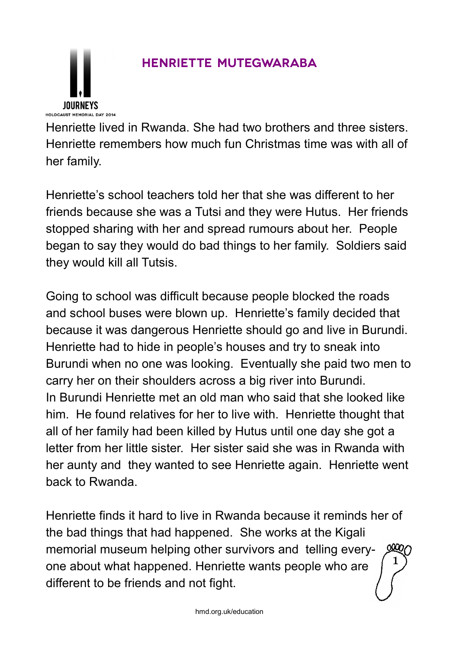## **Henriette Mutegwaraba**

Henriette lived in Rwanda. She had two brothers and three sisters. Henriette remembers how much fun Christmas time was with all of her family.

Henriette's school teachers told her that she was different to her friends because she was a Tutsi and they were Hutus. Her friends stopped sharing with her and spread rumours about her. People began to say they would do bad things to her family. Soldiers said they would kill all Tutsis.

Going to school was difficult because people blocked the roads and school buses were blown up. Henriette's family decided that because it was dangerous Henriette should go and live in Burundi. Henriette had to hide in people's houses and try to sneak into Burundi when no one was looking. Eventually she paid two men to carry her on their shoulders across a big river into Burundi. In Burundi Henriette met an old man who said that she looked like him. He found relatives for her to live with. Henriette thought that all of her family had been killed by Hutus until one day she got a letter from her little sister. Her sister said she was in Rwanda with her aunty and they wanted to see Henriette again. Henriette went back to Rwanda.

Henriette finds it hard to live in Rwanda because it reminds her of the bad things that had happened. She works at the Kigali memorial museum helping other survivors and telling everyone about what happened. Henriette wants people who are different to be friends and not fight. 1